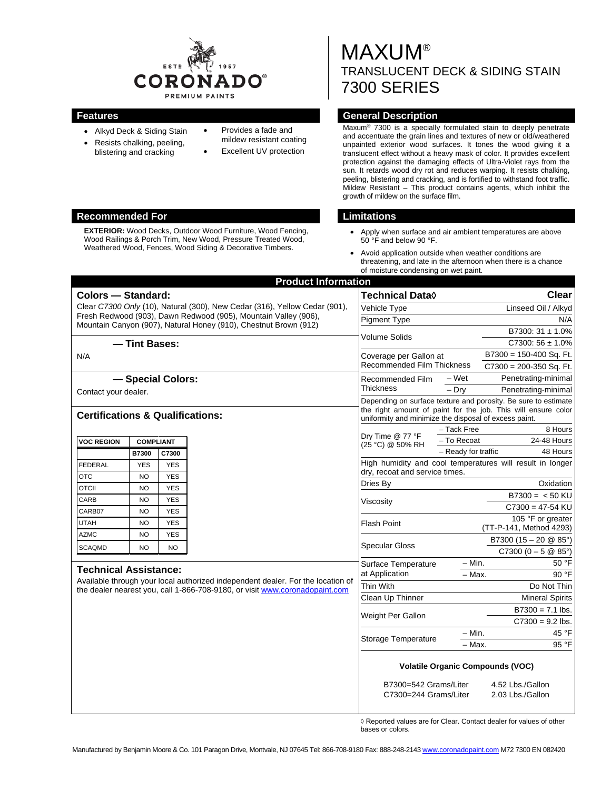

- Alkyd Deck & Siding Stain
- Resists chalking, peeling, blistering and cracking
- Provides a fade and mildew resistant coating
	- Excellent UV protection

MAXUM® TRANSLUCENT DECK & SIDING STAIN 7300 SERIES

## **Features General Description**

Maxum® 7300 is a specially formulated stain to deeply penetrate and accentuate the grain lines and textures of new or old/weathered unpainted exterior wood surfaces. It tones the wood giving it a translucent effect without a heavy mask of color. It provides excellent protection against the damaging effects of Ultra-Violet rays from the sun. It retards wood dry rot and reduces warping. It resists chalking, peeling, blistering and cracking, and is fortified to withstand foot traffic. Mildew Resistant – This product contains agents, which inhibit the growth of mildew on the surface film.

- Apply when surface and air ambient temperatures are above 50 °F and below 90 °F.
- Avoid application outside when weather conditions are threatening, and late in the afternoon when there is a chance of moisture condensing on wet paint.

| <b>Product Information</b>                  |                  |                   |                                                                                 |                                                                |                                                                                                                        |                                                           |  |
|---------------------------------------------|------------------|-------------------|---------------------------------------------------------------------------------|----------------------------------------------------------------|------------------------------------------------------------------------------------------------------------------------|-----------------------------------------------------------|--|
| <b>Colors - Standard:</b>                   |                  |                   |                                                                                 | Technical Data◊                                                |                                                                                                                        | Clear                                                     |  |
|                                             |                  |                   | Clear C7300 Only (10), Natural (300), New Cedar (316), Yellow Cedar (901),      | Vehicle Type                                                   |                                                                                                                        | Linseed Oil / Alkyd                                       |  |
|                                             |                  |                   | Fresh Redwood (903), Dawn Redwood (905), Mountain Valley (906),                 | <b>Pigment Type</b>                                            |                                                                                                                        | N/A                                                       |  |
|                                             |                  |                   | Mountain Canyon (907), Natural Honey (910), Chestnut Brown (912)                |                                                                |                                                                                                                        | B7300: 31 ± 1.0%                                          |  |
|                                             | - Tint Bases:    |                   |                                                                                 | Volume Solids                                                  |                                                                                                                        | $C7300:56 \pm 1.0\%$                                      |  |
| N/A                                         |                  |                   |                                                                                 | Coverage per Gallon at                                         |                                                                                                                        | B7300 = 150-400 Sq. Ft.                                   |  |
|                                             |                  |                   |                                                                                 | Recommended Film Thickness                                     |                                                                                                                        | $C7300 = 200-350$ Sq. Ft.                                 |  |
|                                             |                  | - Special Colors: |                                                                                 | Recommended Film                                               | – Wet                                                                                                                  | Penetrating-minimal                                       |  |
| Contact your dealer.                        |                  |                   |                                                                                 | Thickness                                                      | $-$ Dry                                                                                                                | Penetrating-minimal                                       |  |
|                                             |                  |                   |                                                                                 | Depending on surface texture and porosity. Be sure to estimate |                                                                                                                        |                                                           |  |
| <b>Certifications &amp; Qualifications:</b> |                  |                   |                                                                                 |                                                                | the right amount of paint for the job. This will ensure color<br>uniformity and minimize the disposal of excess paint. |                                                           |  |
|                                             |                  |                   |                                                                                 | Dry Time @ 77 °F                                               | - Tack Free                                                                                                            | 8 Hours                                                   |  |
| <b>VOC REGION</b>                           | <b>COMPLIANT</b> |                   |                                                                                 | (25 °C) @ 50% RH                                               | - To Recoat                                                                                                            | 24-48 Hours                                               |  |
|                                             | B7300            | C7300             |                                                                                 |                                                                | - Ready for traffic                                                                                                    | 48 Hours                                                  |  |
| <b>FEDERAL</b>                              | <b>YES</b>       | <b>YES</b>        |                                                                                 | dry, recoat and service times.                                 |                                                                                                                        | High humidity and cool temperatures will result in longer |  |
| <b>OTC</b>                                  | <b>NO</b>        | <b>YES</b>        |                                                                                 | Dries By                                                       |                                                                                                                        | Oxidation                                                 |  |
| <b>OTCII</b>                                | <b>NO</b>        | <b>YES</b>        |                                                                                 |                                                                |                                                                                                                        | $B7300 = < 50$ KU                                         |  |
| CARB                                        | <b>NO</b>        | <b>YES</b>        |                                                                                 | Viscositv                                                      |                                                                                                                        | $C7300 = 47 - 54$ KU                                      |  |
| CARB07                                      | <b>NO</b>        | <b>YES</b>        |                                                                                 |                                                                |                                                                                                                        | 105 °F or greater                                         |  |
| <b>UTAH</b>                                 | <b>NO</b>        | <b>YES</b>        |                                                                                 | <b>Flash Point</b>                                             |                                                                                                                        | (TT-P-141, Method 4293)                                   |  |
| <b>AZMC</b>                                 | <b>NO</b>        | <b>YES</b>        |                                                                                 | <b>Specular Gloss</b>                                          |                                                                                                                        | B7300 (15 - 20 $@$ 85°)                                   |  |
| <b>SCAQMD</b>                               | NO               | <b>NO</b>         |                                                                                 |                                                                |                                                                                                                        | $C7300 (0 - 5 @ 85^{\circ})$                              |  |
|                                             |                  |                   |                                                                                 | Surface Temperature                                            | $-$ Min.                                                                                                               | 50 °F                                                     |  |
| <b>Technical Assistance:</b>                |                  |                   | Available through your local authorized independent dealer. For the location of | at Application                                                 | - Max.                                                                                                                 | 90 °F                                                     |  |
|                                             |                  |                   | the dealer nearest you, call 1-866-708-9180, or visit www.coronadopaint.com     | Thin With                                                      |                                                                                                                        | Do Not Thin                                               |  |
|                                             |                  |                   |                                                                                 | Clean Up Thinner                                               |                                                                                                                        | <b>Mineral Spirits</b>                                    |  |
|                                             |                  |                   | Weight Per Gallon                                                               |                                                                | $B7300 = 7.1$ lbs.                                                                                                     |                                                           |  |
|                                             |                  |                   |                                                                                 |                                                                |                                                                                                                        | $C7300 = 9.2$ lbs.                                        |  |
|                                             |                  |                   |                                                                                 | Storage Temperature                                            | $-$ Min.                                                                                                               | 45 °F                                                     |  |
|                                             |                  |                   |                                                                                 |                                                                | - Max.                                                                                                                 | 95 °F                                                     |  |
|                                             |                  |                   |                                                                                 | <b>Volatile Organic Compounds (VOC)</b>                        |                                                                                                                        |                                                           |  |
|                                             |                  |                   | B7300=542 Grams/Liter<br>C7300=244 Grams/Liter                                  |                                                                | 4.52 Lbs./Gallon                                                                                                       |                                                           |  |
|                                             |                  |                   |                                                                                 |                                                                | 2.03 Lbs./Gallon                                                                                                       |                                                           |  |
|                                             |                  |                   |                                                                                 |                                                                |                                                                                                                        |                                                           |  |

◊ Reported values are for Clear. Contact dealer for values of other bases or colors.

#### **Recommended For Limitations**

**EXTERIOR:** Wood Decks, Outdoor Wood Furniture, Wood Fencing, Wood Railings & Porch Trim, New Wood, Pressure Treated Wood, Weathered Wood, Fences, Wood Siding & Decorative Timbers.